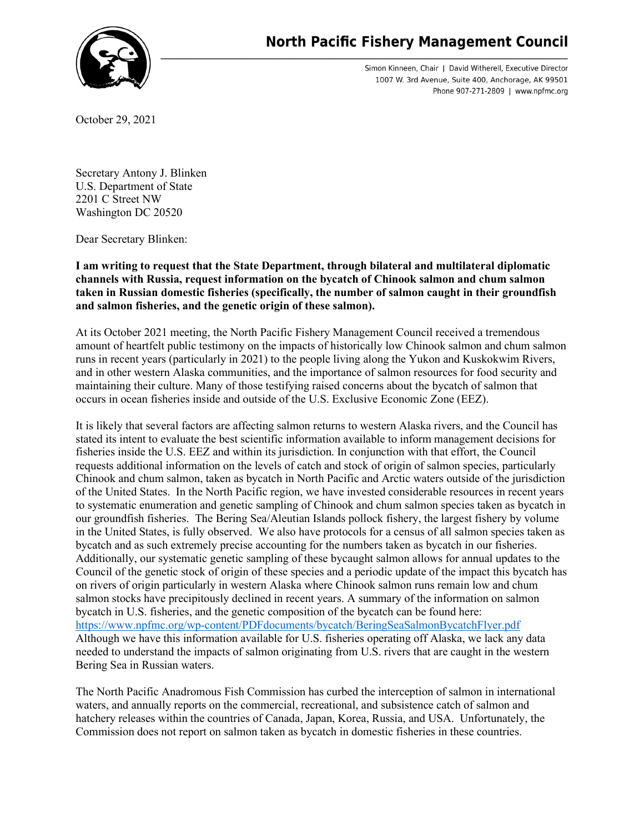## **North Pacific Fishery Management Council**

Simon Kinneen, Chair | David Witherell, Executive Director 1007 W. 3rd Avenue, Suite 400, Anchorage, AK 99501 Phone 907-271-2809 | www.npfmc.org

October 29, 2021

Secretary Antony J. Blinken U.S. Department of State 2201 C Street NW Washington DC 20520

Dear Secretary Blinken:

**I am writing to request that the State Department, through bilateral and multilateral diplomatic channels with Russia, request information on the bycatch of Chinook salmon and chum salmon taken in Russian domestic fisheries (specifically, the number of salmon caught in their groundfish and salmon fisheries, and the genetic origin of these salmon).**

At its October 2021 meeting, the North Pacific Fishery Management Council received a tremendous amount of heartfelt public testimony on the impacts of historically low Chinook salmon and chum salmon runs in recent years (particularly in 2021) to the people living along the Yukon and Kuskokwim Rivers, and in other western Alaska communities, and the importance of salmon resources for food security and maintaining their culture. Many of those testifying raised concerns about the bycatch of salmon that occurs in ocean fisheries inside and outside of the U.S. Exclusive Economic Zone (EEZ).

It is likely that several factors are affecting salmon returns to western Alaska rivers, and the Council has stated its intent to evaluate the best scientific information available to inform management decisions for fisheries inside the U.S. EEZ and within its jurisdiction. In conjunction with that effort, the Council requests additional information on the levels of catch and stock of origin of salmon species, particularly Chinook and chum salmon, taken as bycatch in North Pacific and Arctic waters outside of the jurisdiction of the United States. In the North Pacific region, we have invested considerable resources in recent years to systematic enumeration and genetic sampling of Chinook and chum salmon species taken as bycatch in our groundfish fisheries. The Bering Sea/Aleutian Islands pollock fishery, the largest fishery by volume in the United States, is fully observed. We also have protocols for a census of all salmon species taken as bycatch and as such extremely precise accounting for the numbers taken as bycatch in our fisheries. Additionally, our systematic genetic sampling of these bycaught salmon allows for annual updates to the Council of the genetic stock of origin of these species and a periodic update of the impact this bycatch has on rivers of origin particularly in western Alaska where Chinook salmon runs remain low and chum salmon stocks have precipitously declined in recent years. A summary of the information on salmon bycatch in U.S. fisheries, and the genetic composition of the bycatch can be found here: <https://www.npfmc.org/wp-content/PDFdocuments/bycatch/BeringSeaSalmonBycatchFlyer.pdf> Although we have this information available for U.S. fisheries operating off Alaska, we lack any data needed to understand the impacts of salmon originating from U.S. rivers that are caught in the western Bering Sea in Russian waters.

The North Pacific Anadromous Fish Commission has curbed the interception of salmon in international waters, and annually reports on the commercial, recreational, and subsistence catch of salmon and hatchery releases within the countries of Canada, Japan, Korea, Russia, and USA. Unfortunately, the Commission does not report on salmon taken as bycatch in domestic fisheries in these countries.